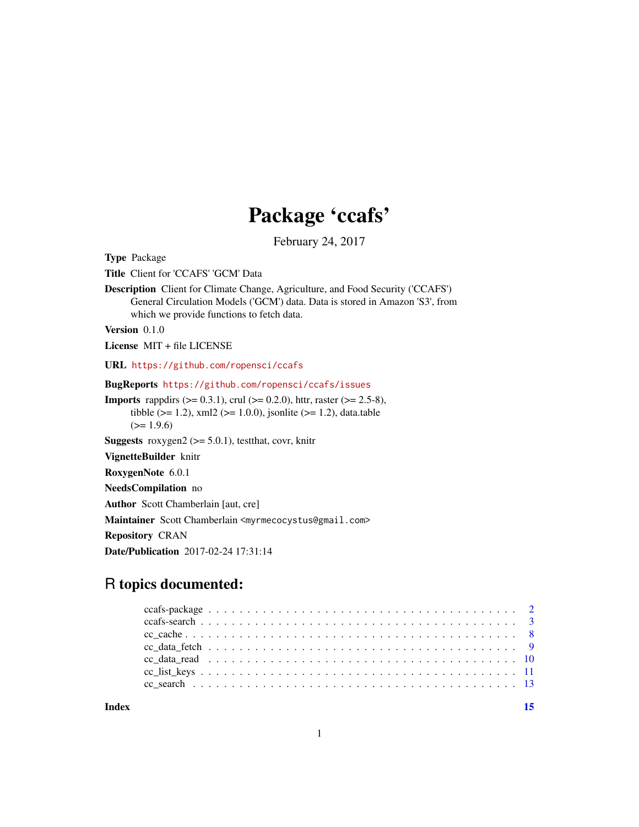## Package 'ccafs'

February 24, 2017

<span id="page-0-0"></span>Type Package

Title Client for 'CCAFS' 'GCM' Data

Description Client for Climate Change, Agriculture, and Food Security ('CCAFS') General Circulation Models ('GCM') data. Data is stored in Amazon 'S3', from which we provide functions to fetch data.

Version 0.1.0

License MIT + file LICENSE

URL <https://github.com/ropensci/ccafs>

BugReports <https://github.com/ropensci/ccafs/issues>

**Imports** rappdirs  $(>= 0.3.1)$ , crul  $(>= 0.2.0)$ , httr, raster  $(>= 2.5-8)$ , tibble ( $>= 1.2$ ), xml2 ( $>= 1.0.0$ ), jsonlite ( $>= 1.2$ ), data.table  $(>= 1.9.6)$ 

**Suggests** roxygen2 ( $>= 5.0.1$ ), testthat, covr, knitr

VignetteBuilder knitr

RoxygenNote 6.0.1

NeedsCompilation no

Author Scott Chamberlain [aut, cre]

Maintainer Scott Chamberlain <myrmecocystus@gmail.com>

Repository CRAN

Date/Publication 2017-02-24 17:31:14

## R topics documented:

**Index** [15](#page-14-0)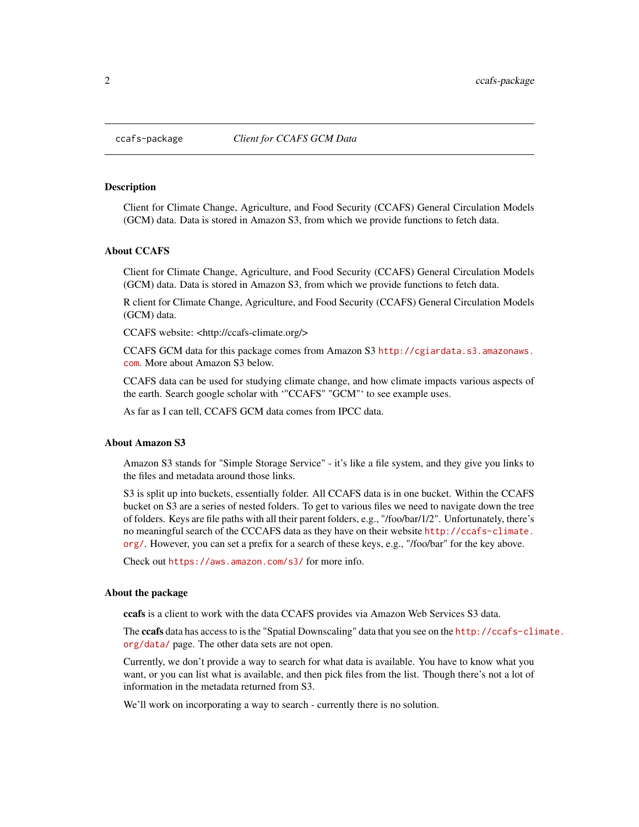<span id="page-1-0"></span>

#### **Description**

Client for Climate Change, Agriculture, and Food Security (CCAFS) General Circulation Models (GCM) data. Data is stored in Amazon S3, from which we provide functions to fetch data.

#### About CCAFS

Client for Climate Change, Agriculture, and Food Security (CCAFS) General Circulation Models (GCM) data. Data is stored in Amazon S3, from which we provide functions to fetch data.

R client for Climate Change, Agriculture, and Food Security (CCAFS) General Circulation Models (GCM) data.

CCAFS website: <http://ccafs-climate.org/>

CCAFS GCM data for this package comes from Amazon S3 [http://cgiardata.s3.amazonaws.](http://cgiardata.s3.amazonaws.com) [com](http://cgiardata.s3.amazonaws.com). More about Amazon S3 below.

CCAFS data can be used for studying climate change, and how climate impacts various aspects of the earth. Search google scholar with '"CCAFS" "GCM"' to see example uses.

As far as I can tell, CCAFS GCM data comes from IPCC data.

#### About Amazon S3

Amazon S3 stands for "Simple Storage Service" - it's like a file system, and they give you links to the files and metadata around those links.

S3 is split up into buckets, essentially folder. All CCAFS data is in one bucket. Within the CCAFS bucket on S3 are a series of nested folders. To get to various files we need to navigate down the tree of folders. Keys are file paths with all their parent folders, e.g., "/foo/bar/1/2". Unfortunately, there's no meaningful search of the CCCAFS data as they have on their website [http://ccafs-climate.](http://ccafs-climate.org/) [org/](http://ccafs-climate.org/). However, you can set a prefix for a search of these keys, e.g., "/foo/bar" for the key above.

Check out <https://aws.amazon.com/s3/> for more info.

#### About the package

ccafs is a client to work with the data CCAFS provides via Amazon Web Services S3 data.

The ccafs data has access to is the "Spatial Downscaling" data that you see on the [http://ccafs-cli](http://ccafs-climate.org/data/)mate. [org/data/](http://ccafs-climate.org/data/) page. The other data sets are not open.

Currently, we don't provide a way to search for what data is available. You have to know what you want, or you can list what is available, and then pick files from the list. Though there's not a lot of information in the metadata returned from S3.

We'll work on incorporating a way to search - currently there is no solution.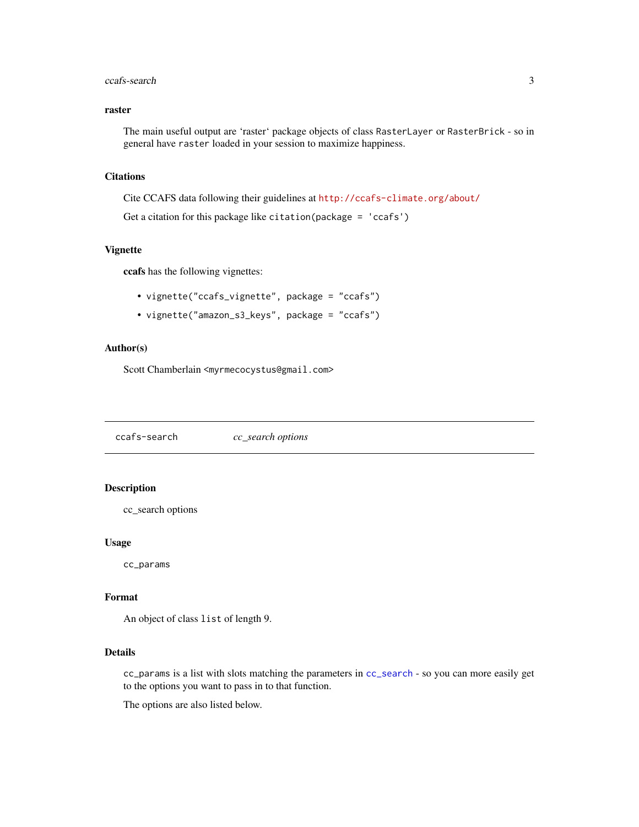## <span id="page-2-0"></span>raster

The main useful output are 'raster' package objects of class RasterLayer or RasterBrick - so in general have raster loaded in your session to maximize happiness.

#### **Citations**

Cite CCAFS data following their guidelines at <http://ccafs-climate.org/about/> Get a citation for this package like citation(package = 'ccafs')

#### Vignette

ccafs has the following vignettes:

- vignette("ccafs\_vignette", package = "ccafs")
- vignette("amazon\_s3\_keys", package = "ccafs")

## Author(s)

Scott Chamberlain <myrmecocystus@gmail.com>

<span id="page-2-1"></span>ccafs-search *cc\_search options*

## Description

cc\_search options

#### Usage

cc\_params

## Format

An object of class list of length 9.

## Details

cc\_params is a list with slots matching the parameters in [cc\\_search](#page-12-1) - so you can more easily get to the options you want to pass in to that function.

The options are also listed below.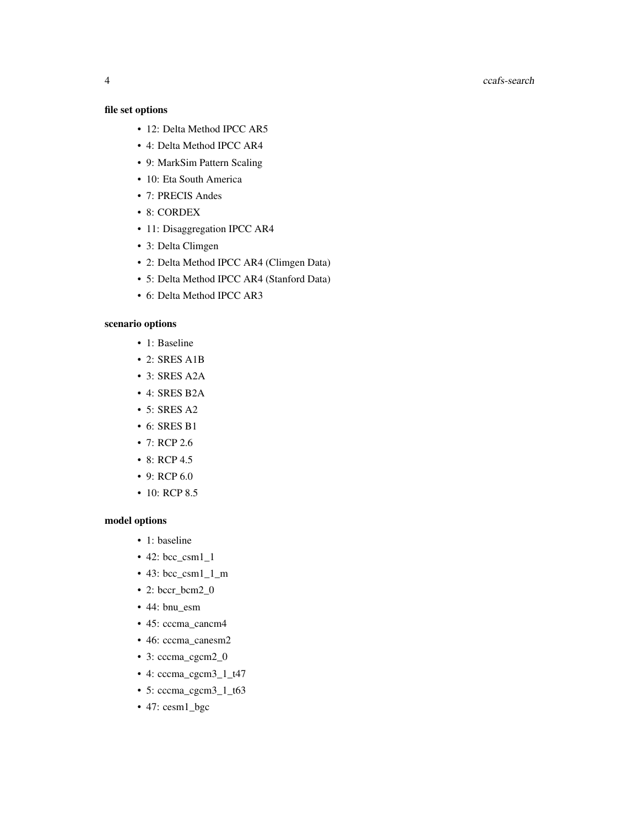#### 4 ccafs-search control of the control of the control of the control of the control of the control of the control of the control of the control of the control of the control of the control of the control of the control of t

## file set options

- 12: Delta Method IPCC AR5
- 4: Delta Method IPCC AR4
- 9: MarkSim Pattern Scaling
- 10: Eta South America
- 7: PRECIS Andes
- 8: CORDEX
- 11: Disaggregation IPCC AR4
- 3: Delta Climgen
- 2: Delta Method IPCC AR4 (Climgen Data)
- 5: Delta Method IPCC AR4 (Stanford Data)
- 6: Delta Method IPCC AR3

## scenario options

- 1: Baseline
- 2: SRES A1B
- 3: SRES A2A
- 4: SRES B2A
- 5: SRES A2
- 6: SRES B1
- 7: RCP 2.6
- 8: RCP 4.5
- 9: RCP 6.0
- 10: RCP 8.5

#### model options

- 1: baseline
- 42: bcc\_csm1\_1
- 43: bcc\_csm1\_1\_m
- 2: bccr\_bcm2\_0
- 44: bnu\_esm
- 45: cccma\_cancm4
- 46: cccma\_canesm2
- 3: cccma\_cgcm2\_0
- 4: cccma\_cgcm3\_1\_t47
- 5: cccma\_cgcm3\_1\_t63
- 47: cesm1\_bgc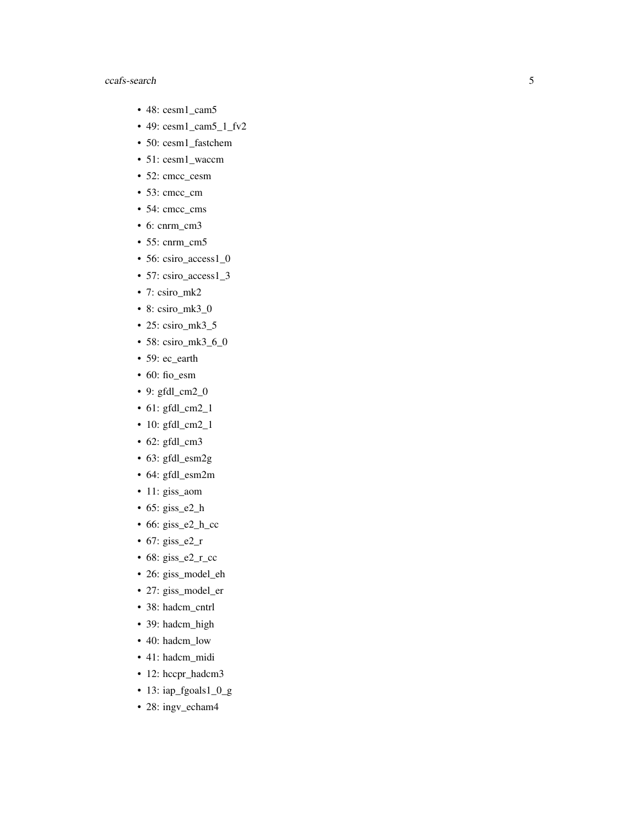- 48: cesm1\_cam5
- 49: cesm1\_cam5\_1\_fv2
- 50: cesm1\_fastchem
- 51: cesm1\_waccm
- 52: cmcc\_cesm
- 53: cmcc\_cm
- 54: cmcc\_cms
- 6: cnrm\_cm3
- 55: cnrm\_cm5
- 56: csiro\_access1\_0
- 57: csiro\_access1\_3
- 7: csiro\_mk2
- 8: csiro\_mk3\_0
- 25: csiro\_mk3\_5
- 58: csiro\_mk3\_6\_0
- 59: ec\_earth
- 60: fio\_esm
- 9: gfdl\_cm2\_0
- 61: gfdl\_cm2\_1
- 10: gfdl\_cm2\_1
- 62: gfdl\_cm3
- 63: gfdl\_esm2g
- 64: gfdl\_esm2m
- 11: giss\_aom
- 65: giss\_e2\_h
- 66: giss\_e2\_h\_cc
- 67: giss\_e2\_r
- $\cdot$  68: giss\_e2\_r\_cc
- 26: giss\_model\_eh
- 27: giss\_model\_er
- 38: hadcm\_cntrl
- 39: hadcm\_high
- 40: hadcm\_low
- 41: hadcm\_midi
- 12: hccpr\_hadcm3
- 13: iap\_fgoals1\_0\_g
- 28: ingv\_echam4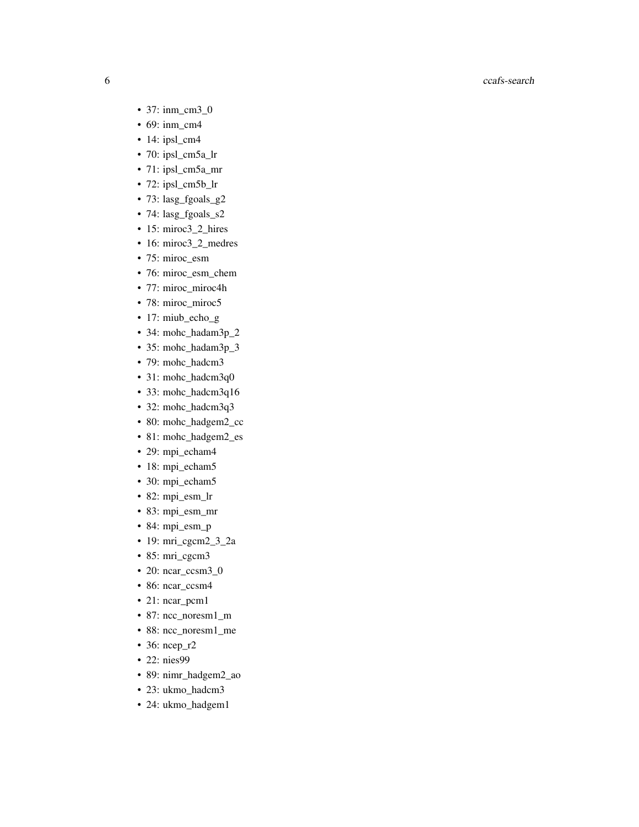- 37: inm\_cm3\_0
- 69: inm\_cm4
- $\cdot$  14: ipsl\_cm4
- 70: ipsl\_cm5a\_lr
- 71: ipsl\_cm5a\_mr
- 72: ipsl\_cm5b\_lr
- 73: lasg\_fgoals\_g2
- 74: lasg\_fgoals\_s2
- 15: miroc3\_2\_hires
- 16: miroc3\_2\_medres
- 75: miroc\_esm
- 76: miroc\_esm\_chem
- 77: miroc\_miroc4h
- 78: miroc\_miroc5
- 17: miub\_echo\_g
- 34: mohc\_hadam3p\_2
- 35: mohc\_hadam3p\_3
- 79: mohc\_hadcm3
- 31: mohc\_hadcm3q0
- 33: mohc\_hadcm3q16
- 32: mohc\_hadcm3q3
- 80: mohc\_hadgem2\_cc
- 81: mohc\_hadgem2\_es
- 29: mpi\_echam4
- 18: mpi\_echam5
- 30: mpi\_echam5
- 82: mpi\_esm\_lr
- 83: mpi\_esm\_mr
- 84: mpi\_esm\_p
- 19: mri\_cgcm2\_3\_2a
- 85: mri\_cgcm3
- 20: ncar\_ccsm3\_0
- 86: ncar\_ccsm4
- 21: ncar\_pcm1
- 87: ncc\_noresm1\_m
- 88: ncc\_noresm1\_me
- 36: ncep\_r2
- 22: nies99
- 89: nimr\_hadgem2\_ao
- 23: ukmo\_hadcm3
- 24: ukmo\_hadgem1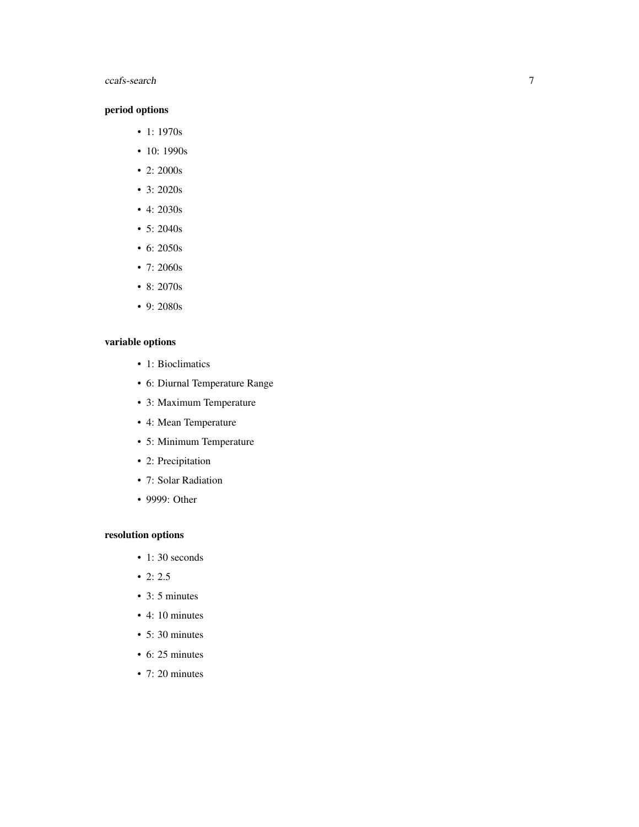## period options

- 1: 1970s
- 10: 1990s
- 2: 2000s
- 3: 2020s
- 4: 2030s
- 5: 2040s
- 6: 2050s
- 7: 2060s
- 8: 2070s
- 9: 2080s

## variable options

- 1: Bioclimatics
- 6: Diurnal Temperature Range
- 3: Maximum Temperature
- 4: Mean Temperature
- 5: Minimum Temperature
- 2: Precipitation
- 7: Solar Radiation
- 9999: Other

## resolution options

- 1:30 seconds
- $2: 2.5$
- 3: 5 minutes
- 4: 10 minutes
- 5: 30 minutes
- 6: 25 minutes
- 7: 20 minutes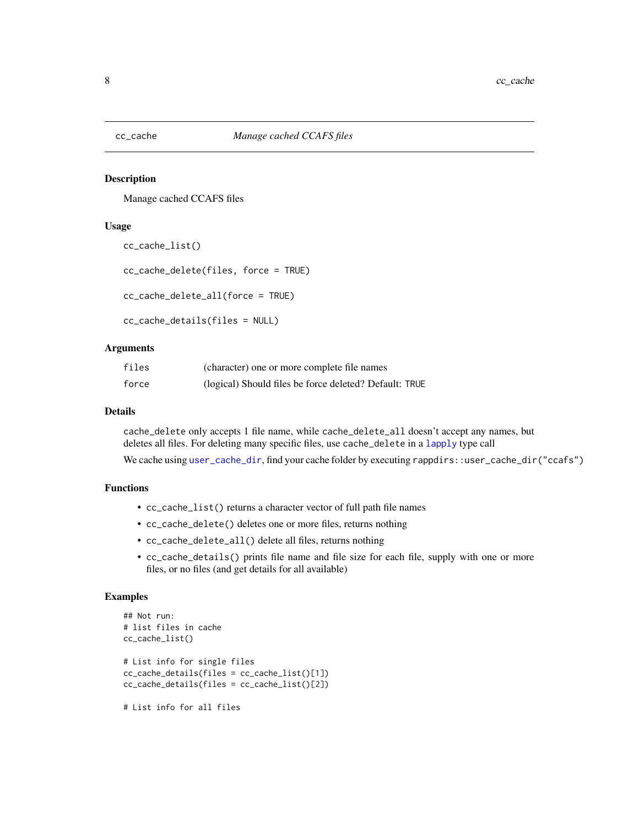<span id="page-7-0"></span>

### Description

Manage cached CCAFS files

### Usage

```
cc_cache_list()
```

```
cc_cache_delete(files, force = TRUE)
```
cc\_cache\_delete\_all(force = TRUE)

```
cc_cache_details(files = NULL)
```
## Arguments

| files | (character) one or more complete file names            |
|-------|--------------------------------------------------------|
| force | (logical) Should files be force deleted? Default: TRUE |

#### Details

cache\_delete only accepts 1 file name, while cache\_delete\_all doesn't accept any names, but deletes all files. For deleting many specific files, use cache\_delete in a [lapply](#page-0-0) type call We cache using [user\\_cache\\_dir](#page-0-0), find your cache folder by executing rappdirs::user\_cache\_dir("ccafs")

## Functions

- cc\_cache\_list() returns a character vector of full path file names
- cc\_cache\_delete() deletes one or more files, returns nothing
- cc\_cache\_delete\_all() delete all files, returns nothing
- cc\_cache\_details() prints file name and file size for each file, supply with one or more files, or no files (and get details for all available)

#### Examples

```
## Not run:
# list files in cache
cc_cache_list()
# List info for single files
cc_cache_details(files = cc_cache_list()[1])
cc_cache_details(files = cc_cache_list()[2])
# List info for all files
```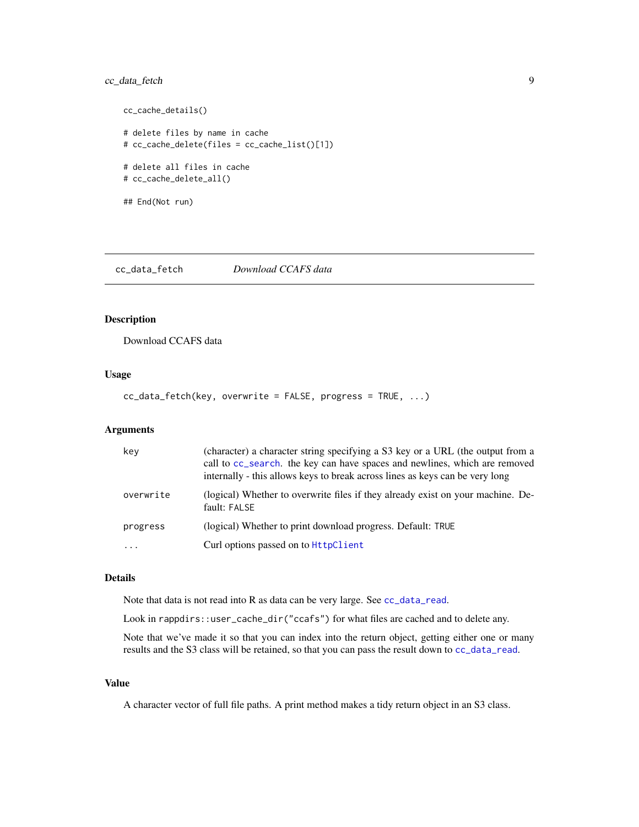## <span id="page-8-0"></span>cc\_data\_fetch 9

```
cc_cache_details()
# delete files by name in cache
# cc_cache_delete(files = cc_cache_list()[1])
# delete all files in cache
# cc_cache_delete_all()
## End(Not run)
```
<span id="page-8-1"></span>cc\_data\_fetch *Download CCAFS data*

## Description

Download CCAFS data

#### Usage

cc\_data\_fetch(key, overwrite = FALSE, progress = TRUE, ...)

## Arguments

| key       | (character) a character string specifying a S3 key or a URL (the output from a<br>call to cc_search. the key can have spaces and newlines, which are removed<br>internally - this allows keys to break across lines as keys can be very long |
|-----------|----------------------------------------------------------------------------------------------------------------------------------------------------------------------------------------------------------------------------------------------|
| overwrite | (logical) Whether to overwrite files if they already exist on your machine. De-<br>fault: FALSE                                                                                                                                              |
| progress  | (logical) Whether to print download progress. Default: TRUE                                                                                                                                                                                  |
| $\cdots$  | Curl options passed on to HttpClient                                                                                                                                                                                                         |

#### Details

Note that data is not read into R as data can be very large. See [cc\\_data\\_read](#page-9-1).

Look in rappdirs::user\_cache\_dir("ccafs") for what files are cached and to delete any.

Note that we've made it so that you can index into the return object, getting either one or many results and the S3 class will be retained, so that you can pass the result down to [cc\\_data\\_read](#page-9-1).

## Value

A character vector of full file paths. A print method makes a tidy return object in an S3 class.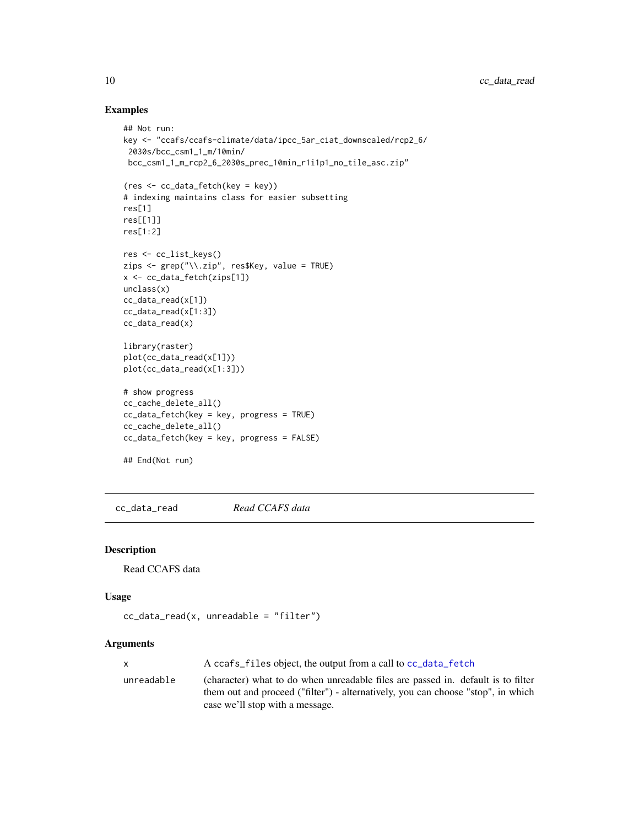## Examples

```
## Not run:
key <- "ccafs/ccafs-climate/data/ipcc_5ar_ciat_downscaled/rcp2_6/
2030s/bcc_csm1_1_m/10min/
 bcc_csm1_1_m_rcp2_6_2030s_prec_10min_r1i1p1_no_tile_asc.zip"
(res <- cc_data_fetch(key = key))
# indexing maintains class for easier subsetting
res[1]
res[[1]]
res[1:2]
res <- cc_list_keys()
zips <- grep("\\.zip", res$Key, value = TRUE)
x <- cc_data_fetch(zips[1])
unclass(x)
cc_data_read(x[1])
cc_data_read(x[1:3])
cc_data_read(x)
library(raster)
plot(cc_data_read(x[1]))
plot(cc_data_read(x[1:3]))
# show progress
cc_cache_delete_all()
cc_data_fetch(key = key, progress = TRUE)
cc_cache_delete_all()
cc_data_fetch(key = key, progress = FALSE)
## End(Not run)
```
<span id="page-9-1"></span>cc\_data\_read *Read CCAFS data*

### Description

Read CCAFS data

## Usage

```
cc\_data\_read(x, unreadable = "filter")
```
## Arguments

|            | A ccafs files object, the output from a call to cc data fetch                    |
|------------|----------------------------------------------------------------------------------|
| unreadable | (character) what to do when unreadable files are passed in. default is to filter |
|            | them out and proceed ("filter") - alternatively, you can choose "stop", in which |
|            | case we'll stop with a message.                                                  |

<span id="page-9-0"></span>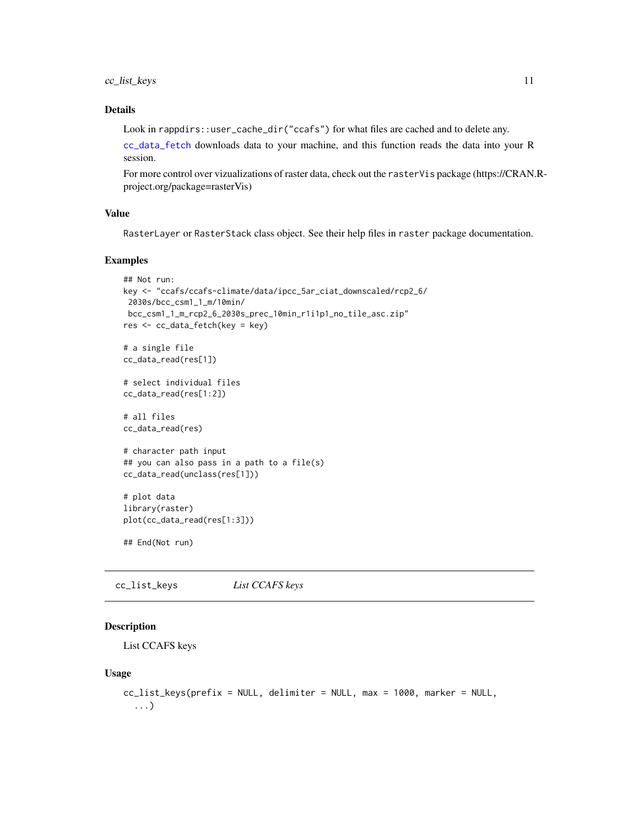## <span id="page-10-0"></span>cc\_list\_keys 11

## Details

Look in rappdirs::user\_cache\_dir("ccafs") for what files are cached and to delete any.

[cc\\_data\\_fetch](#page-8-1) downloads data to your machine, and this function reads the data into your R session.

For more control over vizualizations of raster data, check out the rasterVis package (https://CRAN.Rproject.org/package=rasterVis)

## Value

RasterLayer or RasterStack class object. See their help files in raster package documentation.

#### Examples

```
## Not run:
key <- "ccafs/ccafs-climate/data/ipcc_5ar_ciat_downscaled/rcp2_6/
 2030s/bcc_csm1_1_m/10min/
 bcc_csm1_1_m_rcp2_6_2030s_prec_10min_r1i1p1_no_tile_asc.zip"
res <- cc_data_fetch(key = key)
# a single file
cc_data_read(res[1])
# select individual files
cc_data_read(res[1:2])
# all files
cc_data_read(res)
# character path input
## you can also pass in a path to a file(s)
cc_data_read(unclass(res[1]))
# plot data
library(raster)
plot(cc_data_read(res[1:3]))
## End(Not run)
```
cc\_list\_keys *List CCAFS keys*

## Description

List CCAFS keys

#### Usage

```
cc_list_keys(prefix = NULL, delimiter = NULL, max = 1000, marker = NULL,
  ...)
```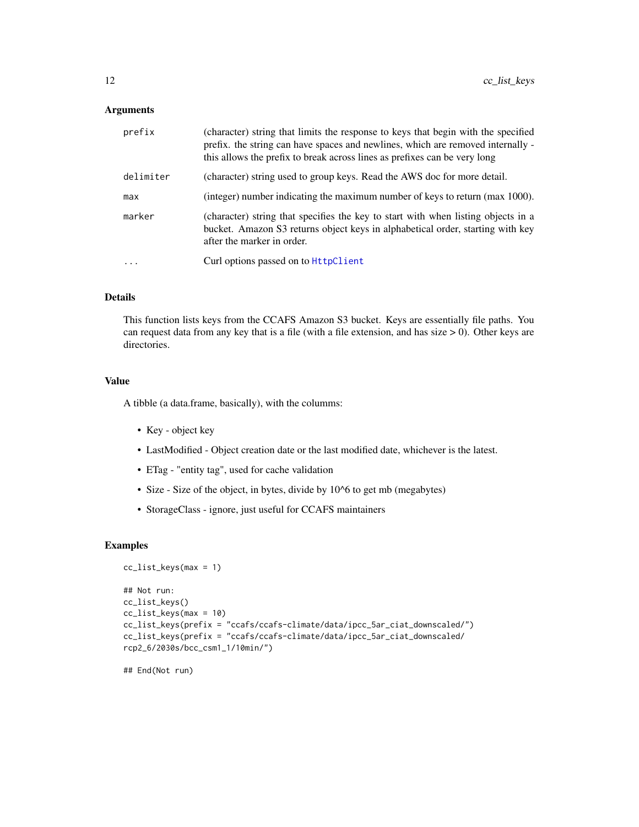## <span id="page-11-0"></span>Arguments

| prefix     | (character) string that limits the response to keys that begin with the specified<br>prefix. the string can have spaces and newlines, which are removed internally -<br>this allows the prefix to break across lines as prefixes can be very long |
|------------|---------------------------------------------------------------------------------------------------------------------------------------------------------------------------------------------------------------------------------------------------|
| delimiter  | (character) string used to group keys. Read the AWS doc for more detail.                                                                                                                                                                          |
| max        | (integer) number indicating the maximum number of keys to return (max 1000).                                                                                                                                                                      |
| marker     | (character) string that specifies the key to start with when listing objects in a<br>bucket. Amazon S3 returns object keys in alphabetical order, starting with key<br>after the marker in order.                                                 |
| $\ddots$ . | Curl options passed on to <b>HttpClient</b>                                                                                                                                                                                                       |

## Details

This function lists keys from the CCAFS Amazon S3 bucket. Keys are essentially file paths. You can request data from any key that is a file (with a file extension, and has size > 0). Other keys are directories.

#### Value

A tibble (a data.frame, basically), with the columms:

- Key object key
- LastModified Object creation date or the last modified date, whichever is the latest.
- ETag "entity tag", used for cache validation
- Size Size of the object, in bytes, divide by 10^6 to get mb (megabytes)
- StorageClass ignore, just useful for CCAFS maintainers

## Examples

```
cc_list_keys(max = 1)
## Not run:
cc_list_keys()
cc_list_keys(max = 10)
cc_list_keys(prefix = "ccafs/ccafs-climate/data/ipcc_5ar_ciat_downscaled/")
cc_list_keys(prefix = "ccafs/ccafs-climate/data/ipcc_5ar_ciat_downscaled/
rcp2_6/2030s/bcc_csm1_1/10min/")
```
## End(Not run)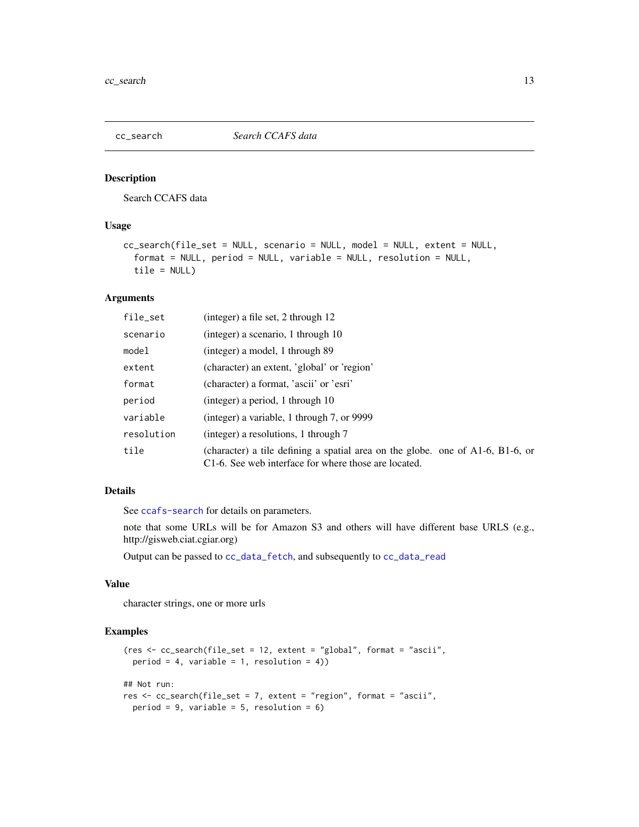<span id="page-12-1"></span><span id="page-12-0"></span>

## Description

Search CCAFS data

## Usage

```
cc_search(file_set = NULL, scenario = NULL, model = NULL, extent = NULL,
  format = NULL, period = NULL, variable = NULL, resolution = NULL,
  tile = NULL)
```
## Arguments

| file_set   | (integer) a file set, 2 through 12                                                                                                           |
|------------|----------------------------------------------------------------------------------------------------------------------------------------------|
| scenario   | (integer) a scenario, 1 through 10                                                                                                           |
| model      | (integer) a model, 1 through 89                                                                                                              |
| extent     | (character) an extent, 'global' or 'region'                                                                                                  |
| format     | (character) a format, 'ascii' or 'esri'                                                                                                      |
| period     | (integer) a period, 1 through 10                                                                                                             |
| variable   | (integer) a variable, 1 through 7, or 9999                                                                                                   |
| resolution | (integer) a resolutions, 1 through 7                                                                                                         |
| tile       | (character) a tile defining a spatial area on the globe. one of $A1-6$ , $B1-6$ , or<br>C1-6. See web interface for where those are located. |

## Details

See [ccafs-search](#page-2-1) for details on parameters.

note that some URLs will be for Amazon S3 and others will have different base URLS (e.g., http://gisweb.ciat.cgiar.org)

Output can be passed to [cc\\_data\\_fetch](#page-8-1), and subsequently to [cc\\_data\\_read](#page-9-1)

## Value

character strings, one or more urls

## Examples

```
(res <- cc_search(file_set = 12, extent = "global", format = "ascii",
  period = 4, variable = 1, resolution = 4))
## Not run:
res <- cc_search(file_set = 7, extent = "region", format = "ascii",
  period = 9, variable = 5, resolution = 6)
```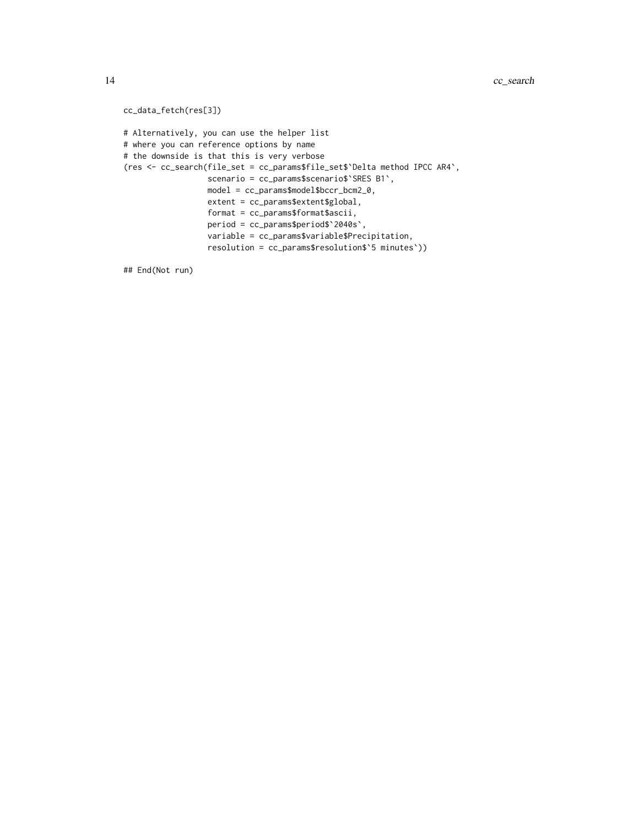```
cc_data_fetch(res[3])
# Alternatively, you can use the helper list
# where you can reference options by name
# the downside is that this is very verbose
(res <- cc_search(file_set = cc_params$file_set$`Delta method IPCC AR4`,
                 scenario = cc_params$scenario$`SRES B1`,
                  model = cc_params$model$bccr_bcm2_0,
                  extent = cc_params$extent$global,
                  format = cc_params$format$ascii,
                  period = cc_params$period$`2040s`,
                  variable = cc_params$variable$Precipitation,
                  resolution = cc_params$resolution$`5 minutes`))
```
## End(Not run)